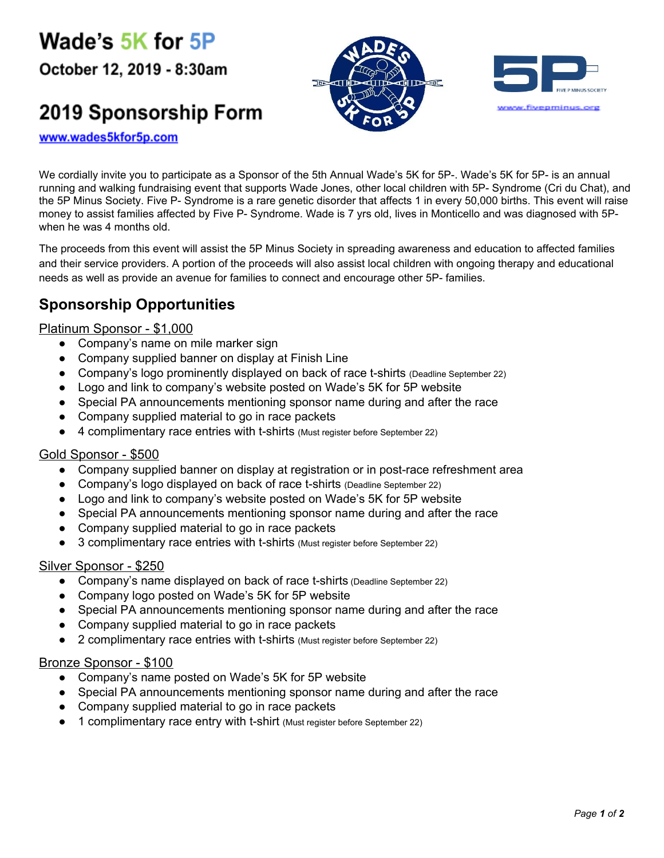Wade's 5K for 5P

October 12, 2019 - 8:30am

# 2019 Sponsorship Form





www.wades5kfor5p.com

We cordially invite you to participate as a Sponsor of the 5th Annual Wade's 5K for 5P-. Wade's 5K for 5P- is an annual running and walking fundraising event that supports Wade Jones, other local children with 5P- Syndrome (Cri du Chat), and the 5P Minus Society. Five P- Syndrome is a rare genetic disorder that affects 1 in every 50,000 births. This event will raise money to assist families affected by Five P- Syndrome. Wade is 7 yrs old, lives in Monticello and was diagnosed with 5Pwhen he was 4 months old.

The proceeds from this event will assist the 5P Minus Society in spreading awareness and education to affected families and their service providers. A portion of the proceeds will also assist local children with ongoing therapy and educational needs as well as provide an avenue for families to connect and encourage other 5P- families.

### **Sponsorship Opportunities**

#### Platinum Sponsor - \$1,000

- Company's name on mile marker sign
- Company supplied banner on display at Finish Line
- Company's logo prominently displayed on back of race t-shirts (Deadline September 22)
- Logo and link to company's website posted on Wade's 5K for 5P website
- Special PA announcements mentioning sponsor name during and after the race
- Company supplied material to go in race packets
- 4 complimentary race entries with t-shirts (Must register before September 22)

#### Gold Sponsor - \$500

- Company supplied banner on display at registration or in post-race refreshment area
- Company's logo displayed on back of race t-shirts (Deadline September 22)
- Logo and link to company's website posted on Wade's 5K for 5P website
- Special PA announcements mentioning sponsor name during and after the race
- Company supplied material to go in race packets
- 3 complimentary race entries with t-shirts (Must register before September 22)

#### Silver Sponsor - \$250

- Company's name displayed on back of race t-shirts (Deadline September 22)
- Company logo posted on Wade's 5K for 5P website
- Special PA announcements mentioning sponsor name during and after the race
- Company supplied material to go in race packets
- 2 complimentary race entries with t-shirts (Must register before September 22)

#### Bronze Sponsor - \$100

- Company's name posted on Wade's 5K for 5P website
- Special PA announcements mentioning sponsor name during and after the race
- Company supplied material to go in race packets
- 1 complimentary race entry with t-shirt (Must register before September 22)